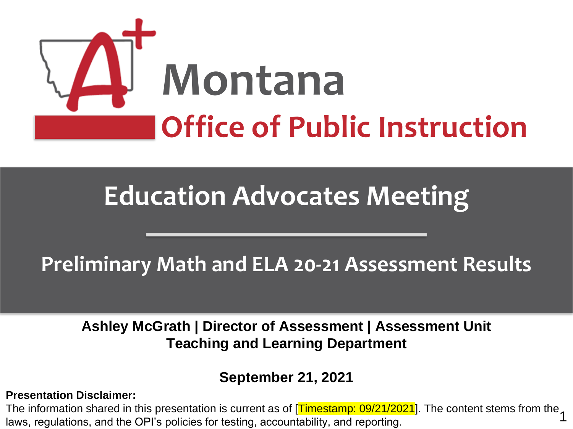

# **Education Advocates Meeting**

## **Preliminary Math and ELA 20-21 Assessment Results**

**Ashley McGrath | Director of Assessment | Assessment Unit Teaching and Learning Department**

### oeptember zij zuzint die director die beleidige director director director director director director director<br>District director director director director director director director director director director director di **September 21, 2021**

### **Presentation Disclaimer:**

1 The information shared in this presentation is current as of [<mark>Timestamp: 09/21/2021</mark>]. The content stems from the laws, regulations, and the OPI's policies for testing, accountability, and reporting.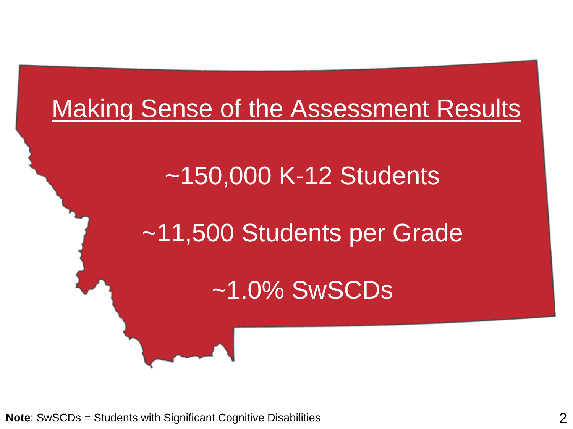# Making Sense of the Assessment Results

# ~150,000 K-12 Students

# ~11,500 Students per Grade

## ~1.0% SwSCDs

**Note**: SwSCDs = Students with Significant Cognitive Disabilities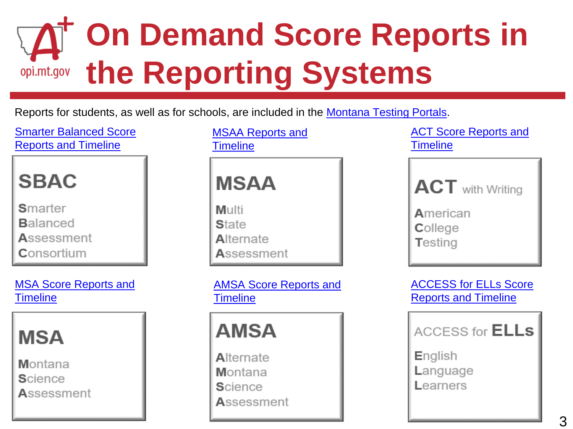# **On Demand Score Reports in opi.mt.gov** the Reporting Systems

### Reports for students, as well as for schools, are included in the [Montana Testing Portals.](https://opi.mt.gov/Leadership/Assessment-Accountability/MontCAS/Testing-Portals)

[Smarter Balanced Score](https://docs.google.com/document/d/13CuopMxG7DMIDanV8ctn4iwkqO_IByx_M5eAt2QJqp4/edit?usp=sharing)  Reports and Timeline



Smarter **Balanced** Assessment Consortium

[MSA Score Reports and](https://docs.google.com/document/d/1XvfpIvlEzmrhuHTFK3KaQB28KC0H2uWCS8eqXu7ucf4/edit?usp=sharing) **Timeline** 



Montana **Science** Assessment [MSAA Reports and](https://docs.google.com/document/d/1iQlslZ6fQyOeohXYRthJG0JLUI8rlEn38jFkQ1KDcg8/edit?usp=sharing)  **Timeline** 



[AMSA Score Reports and](https://docs.google.com/document/d/1ZwszoYnJUeXtROwLm1ZOmRuC7ERFq2beVQTZbRcYr0s/edit?usp=sharing)  **Timeline** 



[ACT Score Reports and](https://docs.google.com/document/d/1kmPpIbJ7fOE2Np6Z1qcM6YdFkly6r7ujILCvf16iKe0/edit?usp=sharing)  **Timeline** 

| <b>ACT</b> with Writing                |  |
|----------------------------------------|--|
| <b>A</b> merican<br>College<br>Testing |  |

[ACCESS for ELLs Score](https://docs.google.com/document/d/1rb4BfHXsybwbSoWcKXdlwiMMhPNQC4LELp3Dz7seInM/edit?usp=sharing) Reports and Timeline

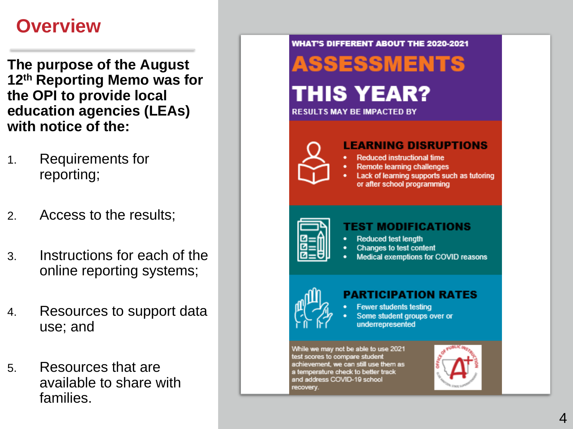## **Overview**

**The purpose of the August 12th Reporting Memo was for the OPI to provide local education agencies (LEAs) with notice of the:**

- 1. Requirements for reporting;
- 2. Access to the results;
- 3. Instructions for each of the online reporting systems;
- 4. Resources to support data use; and
- 5. Resources that are available to share with families.

**WHAT'S DIFFERENT ABOUT THE 2020-2021** 

# **ASSESSMENTS**

## THIS YEAR?



#### **RESULTS MAY BE IMPACTED BY**



#### **LEARNING DISRUPTIONS**

- **Reduced instructional time**
- **Remote learning challenges**
- Lack of learning supports such as tutoring or after school programming



#### **TEST MODIFICATIONS**

- **Reduced test length**
- Changes to test content
- Medical exemptions for COVID reasons



### PARTICIPATION RATES

- **Fewer students testing**
- Some student groups over or underrepresented

While we may not be able to use 2021 test scores to compare student achievement, we can still use them as a temperature check to better track and address COVID-19 school recovery.

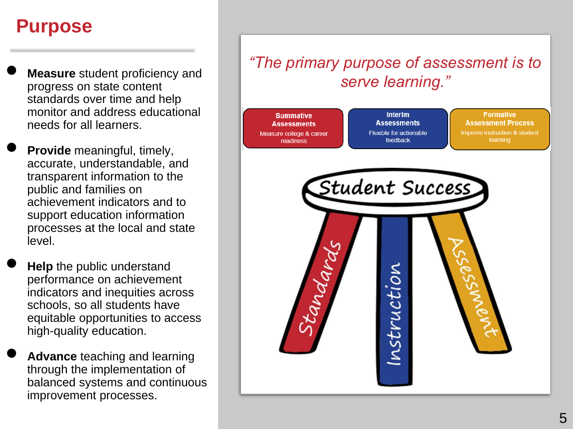### **Purpose**

- **Measure** student proficiency and progress on state content standards over time and help monitor and address educational needs for all learners.
- **Provide** meaningful, timely, accurate, understandable, and transparent information to the public and families on achievement indicators and to support education information processes at the local and state level.
- **Help** the public understand performance on achievement indicators and inequities across schools, so all students have equitable opportunities to access high-quality education.
- **Advance** teaching and learning through the implementation of balanced systems and continuous improvement processes.

### *"The primary purpose of assessment is to serve learning."*

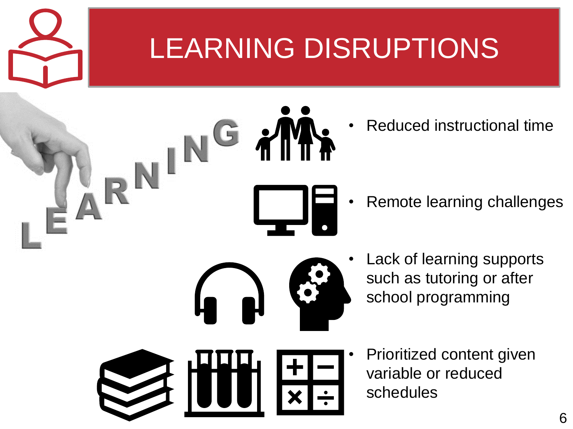# LEARNING DISRUPTIONS

• Reduced instructional time

- Remote learning challenges
- Lack of learning supports
- such as tutoring or after school programming

- 
- Prioritized content given variable or reduced schedules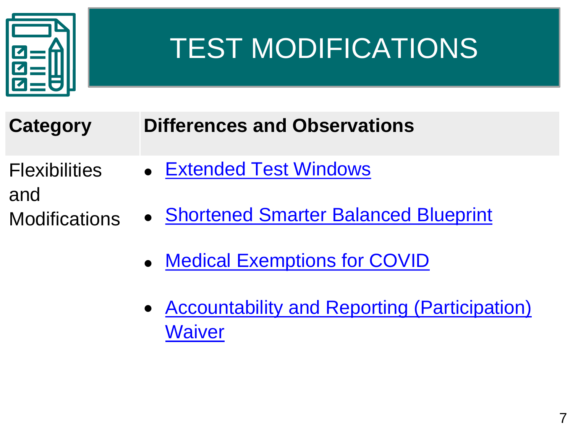

# TEST MODIFICATIONS

| <b>Category</b> | <b>Differences and Observations</b> |  |
|-----------------|-------------------------------------|--|
|-----------------|-------------------------------------|--|

- **Flexibilities** and
- **Modifications**
- [Extended Test Windows](http://opi.mt.gov/Portals/182/Page%20Files/Statewide%20Testing/Landing%20Page/Published%20Test%20Windows_2021_ver2.pdf?ver=2020-10-27-092258-750)
- [Shortened Smarter Balanced Blueprint](https://sites.google.com/opiconnect.org/assist-conference-2021/ASSIST2021_keynote_strands/strand-1/day-2-strand-1-session-4?authuser=0)
	- [Medical Exemptions for COVID](https://lnks.gd/l/eyJhbGciOiJIUzI1NiJ9.eyJidWxsZXRpbl9saW5rX2lkIjoxMDcsInVyaSI6ImJwMjpjbGljayIsImJ1bGxldGluX2lkIjoiMjAyMTA0MTIuMzg2MzA5MTEiLCJ1cmwiOiJodHRwOi8vb3BpLm10Lmdvdi9Qb3J0YWxzLzE4Mi9QYWdlJTIwRmlsZXMvU3RhdGV3aWRlJTIwVGVzdGluZy9QYXJ0aWNpcGF0aW9uL01vbnRDQVMlMjBQb2xpY2llcyUyMGFuZCUyMFByb2NlZHVyZXMlMjBmb3IlMjBQYXJ0aWNpcGF0aW9uJTIwaW4lMjBTdGF0ZSUyMEFzc2Vzc21lbnRzLnBkZiJ9.ze9tFr_6MtU-cQsFDjaMuH4lLkhP1im2bVk94oITbDo/s/994434323/br/101844656156-l)
	- [Accountability and Reporting \(Participation\)](http://opi.mt.gov/Portals/182/Page%20Files/Statewide%20Testing/Strategic%20Waivers/03262021_USED%20ACCT%20Template%20Waiver%20Response.pdf?ver=2021-03-29-124645-347) **Waiver**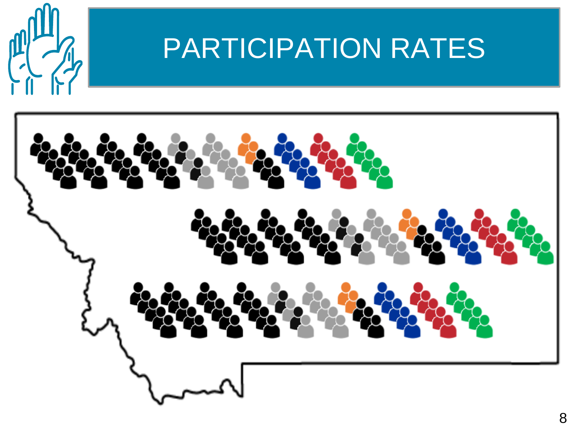

# PARTICIPATION RATES

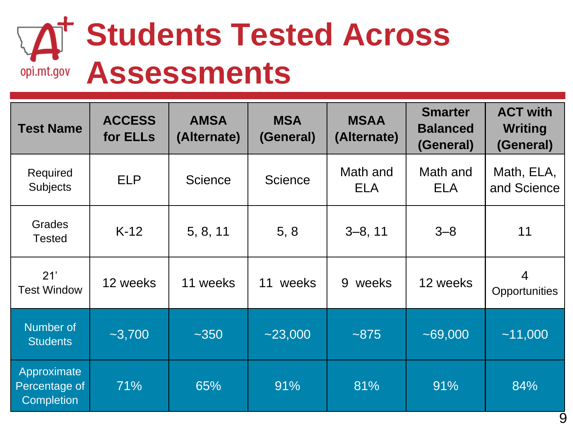# **Students Tested Across Assessments**

| <b>Test Name</b>                                  | <b>ACCESS</b><br>for ELLs | <b>AMSA</b><br>(Alternate)       | <b>MSA</b><br>(General) | <b>MSAA</b><br>(Alternate) | <b>Smarter</b><br><b>Balanced</b><br>(General) | <b>ACT with</b><br><b>Writing</b><br>(General) |  |
|---------------------------------------------------|---------------------------|----------------------------------|-------------------------|----------------------------|------------------------------------------------|------------------------------------------------|--|
| Required<br><b>Subjects</b>                       | <b>ELP</b>                | <b>Science</b><br><b>Science</b> |                         | Math and<br><b>ELA</b>     | Math and<br><b>ELA</b>                         | Math, ELA,<br>and Science                      |  |
| Grades<br><b>Tested</b>                           | $K-12$                    | 5, 8, 11                         | 5, 8                    | $3-8, 11$                  | $3 - 8$                                        | 11                                             |  |
| 21'<br><b>Test Window</b>                         | 12 weeks                  | 11 weeks                         | weeks<br>11             | weeks<br>9                 | 12 weeks                                       | $\overline{4}$<br>Opportunities                |  |
| Number of<br><b>Students</b>                      | $-3,700$                  | $-350$                           | $-23,000$               | ~1875                      | $-69,000$                                      | ~11,000                                        |  |
| Approximate<br>Percentage of<br><b>Completion</b> | 71%                       | 65%                              | 91%                     | 81%                        | 91%                                            | 84%                                            |  |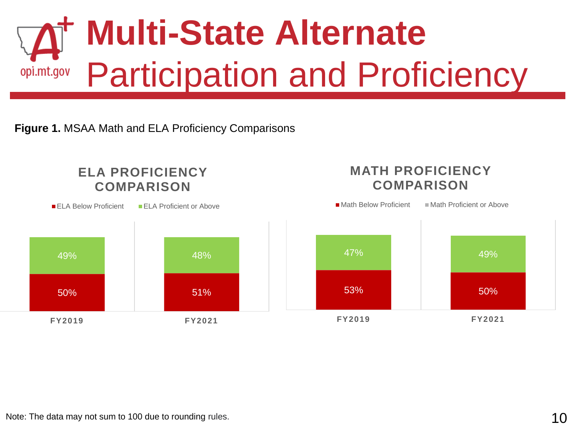

**Figure 1.** MSAA Math and ELA Proficiency Comparisons

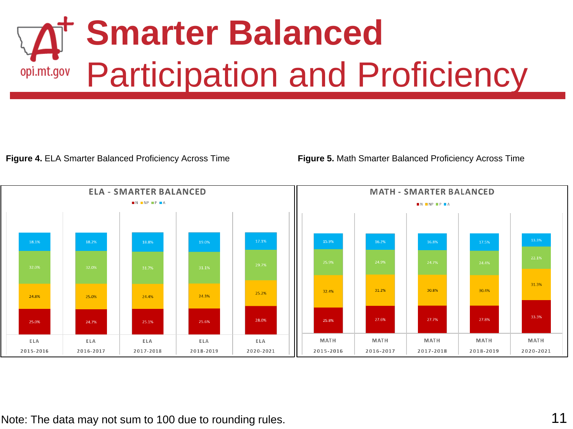# **Smarter Balanced**  Participation and Proficiency opi.mt.gov

**Figure 4.** ELA Smarter Balanced Proficiency Across Time **Figure 5.** Math Smarter Balanced Proficiency Across Time

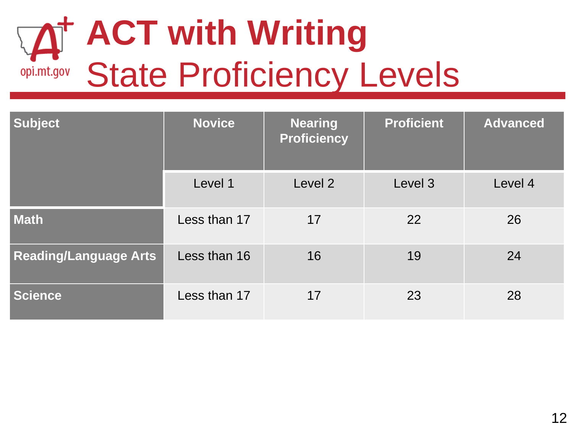# **ACT with Writing** State Proficiency Levels

| <b>Subject</b>               | <b>Novice</b> | <b>Nearing</b><br><b>Proficiency</b> | <b>Proficient</b> | <b>Advanced</b> |  |
|------------------------------|---------------|--------------------------------------|-------------------|-----------------|--|
|                              | Level 1       | Level 2                              | Level 3           | Level 4         |  |
| <b>Math</b>                  | Less than 17  | 17                                   | 22                | 26              |  |
| <b>Reading/Language Arts</b> | Less than 16  | 16                                   | 19                | 24              |  |
| <b>Science</b>               | Less than 17  | 17                                   | 23                | 28              |  |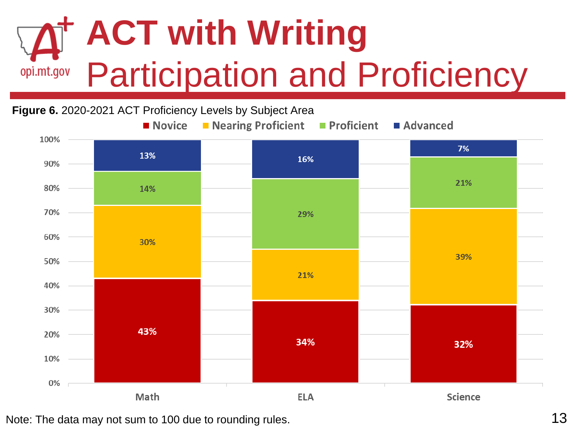## **ACT with Writing** Participation and Proficiency opi.mt.gov

#### **Figure 6.** 2020-2021 ACT Proficiency Levels by Subject Area■ Novice ■ Nearing Proficient **Proficient** Advanced 100% 7% 13% 16% 90% 21% 80% 14% 70% 29% 60% 30% 39% 50% 21% 40% 30% 43% 20% 34% 32% 10% 0% Math **Science ELA**

Note: The data may not sum to 100 due to rounding rules. 13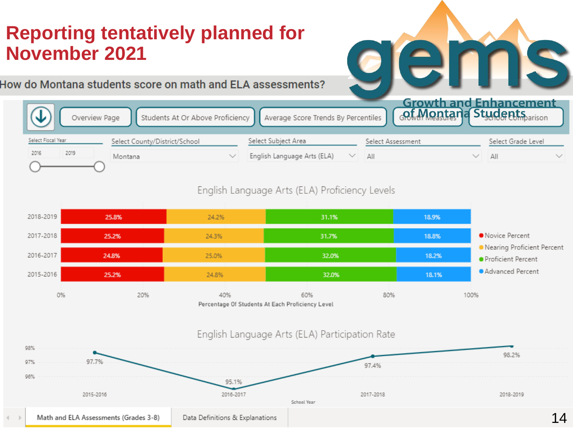## **Reporting tentatively planned for November 2021**

How do Montana students score on math and ELA assessments?

|                    |               |         |                               |                                                                        |     | <b>Growth and Enhancement</b>       |                    |  |
|--------------------|---------------|---------|-------------------------------|------------------------------------------------------------------------|-----|-------------------------------------|--------------------|--|
|                    | Overview Page |         |                               | Students At Or Above Proficiency   Average Score Trends By Percentiles |     | <b><u>Oct. Montana</u></b> Students |                    |  |
| Select Fiscal Year |               |         | Select County/District/School | Select Subject Area                                                    |     | Select Assessment                   | Select Grade Level |  |
|                    | 2019          | Montana |                               | English Language Arts (ELA)                                            | ΑII |                                     | All                |  |
|                    |               |         |                               |                                                                        |     |                                     |                    |  |

e.

18

### English Language Arts (ELA) Proficiency Levels

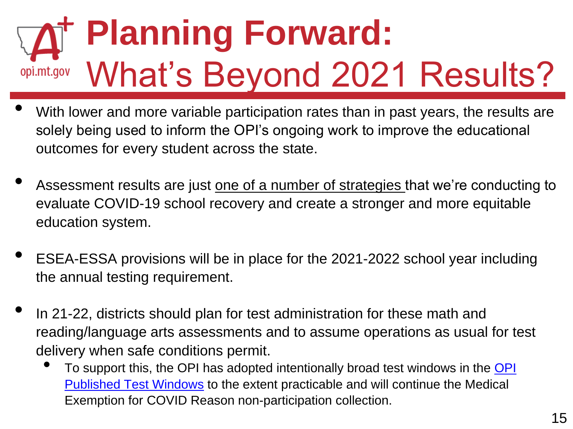# **Planning Forward:**  What's Beyond 2021 Results? opi.mt.gov

- With lower and more variable participation rates than in past years, the results are solely being used to inform the OPI's ongoing work to improve the educational outcomes for every student across the state.
- Assessment results are just one of a number of strategies that we're conducting to evaluate COVID-19 school recovery and create a stronger and more equitable education system.
- ESEA-ESSA provisions will be in place for the 2021-2022 school year including the annual testing requirement.
- In 21-22, districts should plan for test administration for these math and reading/language arts assessments and to assume operations as usual for test delivery when safe conditions permit.
	- To support this, the OPI has adopted intentionally broad test windows in the OPI Published Test Windows to the extent practicable and will continue the Medical Exemption for COVID Reason non-participation collection.